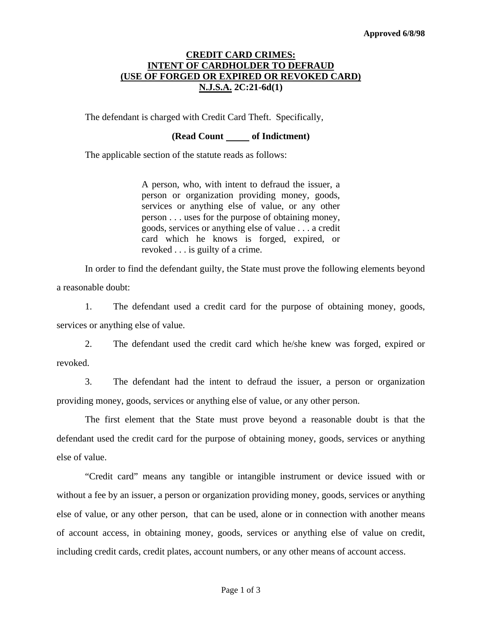## **CREDIT CARD CRIMES: INTENT OF CARDHOLDER TO DEFRAUD (USE OF FORGED OR EXPIRED OR REVOKED CARD) N.J.S.A. 2C:21-6d(1)**

The defendant is charged with Credit Card Theft. Specifically,

### **(Read Count of Indictment)**

The applicable section of the statute reads as follows:

A person, who, with intent to defraud the issuer, a person or organization providing money, goods, services or anything else of value, or any other person . . . uses for the purpose of obtaining money, goods, services or anything else of value . . . a credit card which he knows is forged, expired, or revoked . . . is guilty of a crime.

 In order to find the defendant guilty, the State must prove the following elements beyond a reasonable doubt:

 1. The defendant used a credit card for the purpose of obtaining money, goods, services or anything else of value.

 2. The defendant used the credit card which he/she knew was forged, expired or revoked.

 3. The defendant had the intent to defraud the issuer, a person or organization providing money, goods, services or anything else of value, or any other person.

 The first element that the State must prove beyond a reasonable doubt is that the defendant used the credit card for the purpose of obtaining money, goods, services or anything else of value.

<span id="page-0-0"></span> "Credit card" means any tangible or intangible instrument or device issued with or without a fee by an issuer, a person or organization providing money, goods, services or anything else of value, or any other person, that can be used, alone or in connection with another means of account access, in obtaining money, goods, services or anything else of value on credit, including credit cards, credit plates, account numbers, or any other means of account access.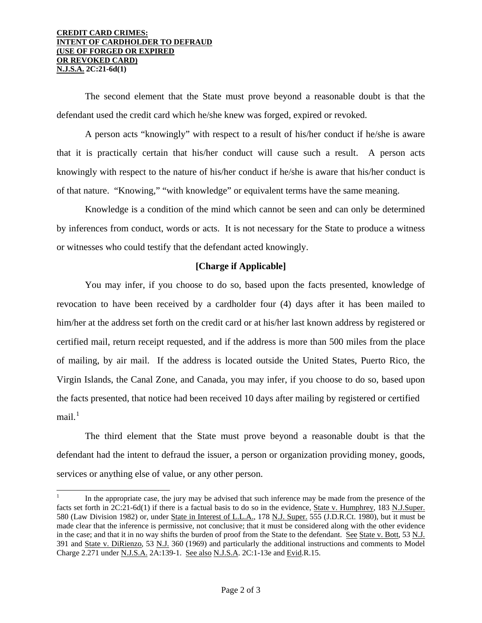#### **CREDIT CARD CRIMES: INTENT OF CARDHOLDER TO DEFRAUD (USE OF FORGED OR EXPIRED OR REVOKED CARD) N.J.S.A. 2C:21-6d(1)**

 $\overline{a}$ 

 The second element that the State must prove beyond a reasonable doubt is that the defendant used the credit card which he/she knew was forged, expired or revoked.

 A person acts "knowingly" with respect to a result of his/her conduct if he/she is aware that it is practically certain that his/her conduct will cause such a result. A person acts knowingly with respect to the nature of his/her conduct if he/she is aware that his/her conduct is of that nature. "Knowing," "with knowledge" or equivalent terms have the same meaning.

 Knowledge is a condition of the mind which cannot be seen and can only be determined by inferences from conduct, words or acts. It is not necessary for the State to produce a witness or witnesses who could testify that the defendant acted knowingly.

# **[Charge if Applicable]**

 You may infer, if you choose to do so, based upon the facts presented, knowledge of revocation to have been received by a cardholder four (4) days after it has been mailed to him/her at the address set forth on the credit card or at his/her last known address by registered or certified mail, return receipt requested, and if the address is more than 500 miles from the place of mailing, by air mail. If the address is located outside the United States, Puerto Rico, the Virgin Islands, the Canal Zone, and Canada, you may infer, if you choose to do so, based upon the facts presented, that notice had been received 10 days after mailing by registered or certified mail $1$ 

 The third element that the State must prove beyond a reasonable doubt is that the defendant had the intent to defraud the issuer, a person or organization providing money, goods, services or anything else of value, or any other person.

<sup>1</sup> In the appropriate case, the jury may be advised that such inference may be made from the presence of the facts set forth in 2C:21-6d(1) if there is a factual basis to do so in the evidence, State v. Humphrey, 183 N.J.Super. 580 (Law Division 1982) or, under State in Interest of L.L.A., 178 N.J. Super. 555 (J.D.R.Ct. 1980), but it must be made clear that the inference is permissive, not conclusive; that it must be considered along with the other evidence in the case; and that it in no way shifts the burden of proof from the State to the defendant. See State v. Bott, 53 N.J. 391 and State v. DiRienzo, 53 N.J. 360 (1969) and particularly the additional instructions and comments to Model Charge 2.271 under N.J.S.A. 2A:139-1. See also N.J.S.A. 2C:1-13e and Evid.R.15.